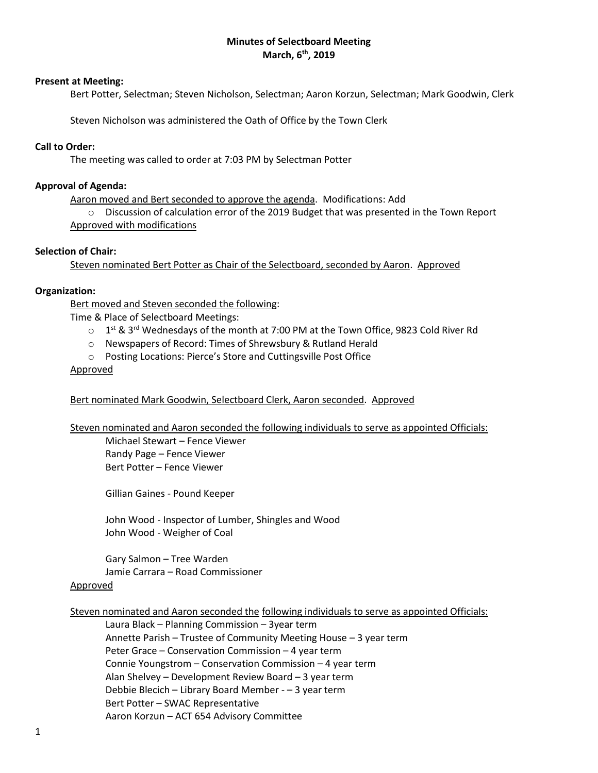# **Minutes of Selectboard Meeting March, 6th, 2019**

### **Present at Meeting:**

Bert Potter, Selectman; Steven Nicholson, Selectman; Aaron Korzun, Selectman; Mark Goodwin, Clerk

Steven Nicholson was administered the Oath of Office by the Town Clerk

### **Call to Order:**

The meeting was called to order at 7:03 PM by Selectman Potter

### **Approval of Agenda:**

Aaron moved and Bert seconded to approve the agenda. Modifications: Add

o Discussion of calculation error of the 2019 Budget that was presented in the Town Report Approved with modifications

#### **Selection of Chair:**

Steven nominated Bert Potter as Chair of the Selectboard, seconded by Aaron. Approved

#### **Organization:**

Bert moved and Steven seconded the following:

Time & Place of Selectboard Meetings:

- $\circ$  1<sup>st</sup> & 3<sup>rd</sup> Wednesdays of the month at 7:00 PM at the Town Office, 9823 Cold River Rd
- o Newspapers of Record: Times of Shrewsbury & Rutland Herald
- o Posting Locations: Pierce's Store and Cuttingsville Post Office

#### Approved

### Bert nominated Mark Goodwin, Selectboard Clerk, Aaron seconded. Approved

Steven nominated and Aaron seconded the following individuals to serve as appointed Officials:

Michael Stewart – Fence Viewer Randy Page – Fence Viewer Bert Potter – Fence Viewer

Gillian Gaines - Pound Keeper

John Wood - Inspector of Lumber, Shingles and Wood John Wood - Weigher of Coal

Gary Salmon – Tree Warden Jamie Carrara – Road Commissioner

#### Approved

Steven nominated and Aaron seconded the following individuals to serve as appointed Officials:

Laura Black – Planning Commission – 3year term Annette Parish – Trustee of Community Meeting House – 3 year term Peter Grace – Conservation Commission – 4 year term Connie Youngstrom – Conservation Commission – 4 year term Alan Shelvey – Development Review Board – 3 year term Debbie Blecich – Library Board Member - – 3 year term Bert Potter – SWAC Representative Aaron Korzun – ACT 654 Advisory Committee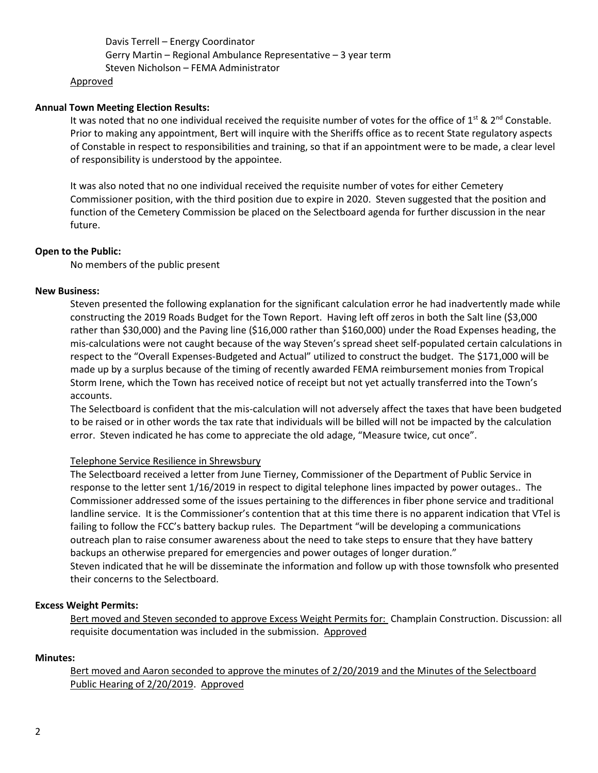Davis Terrell – Energy Coordinator Gerry Martin – Regional Ambulance Representative – 3 year term Steven Nicholson – FEMA Administrator

#### Approved

# **Annual Town Meeting Election Results:**

It was noted that no one individual received the requisite number of votes for the office of 1<sup>st</sup> & 2<sup>nd</sup> Constable. Prior to making any appointment, Bert will inquire with the Sheriffs office as to recent State regulatory aspects of Constable in respect to responsibilities and training, so that if an appointment were to be made, a clear level of responsibility is understood by the appointee.

It was also noted that no one individual received the requisite number of votes for either Cemetery Commissioner position, with the third position due to expire in 2020. Steven suggested that the position and function of the Cemetery Commission be placed on the Selectboard agenda for further discussion in the near future.

### **Open to the Public:**

No members of the public present

# **New Business:**

Steven presented the following explanation for the significant calculation error he had inadvertently made while constructing the 2019 Roads Budget for the Town Report. Having left off zeros in both the Salt line (\$3,000 rather than \$30,000) and the Paving line (\$16,000 rather than \$160,000) under the Road Expenses heading, the mis-calculations were not caught because of the way Steven's spread sheet self-populated certain calculations in respect to the "Overall Expenses-Budgeted and Actual" utilized to construct the budget. The \$171,000 will be made up by a surplus because of the timing of recently awarded FEMA reimbursement monies from Tropical Storm Irene, which the Town has received notice of receipt but not yet actually transferred into the Town's accounts.

The Selectboard is confident that the mis-calculation will not adversely affect the taxes that have been budgeted to be raised or in other words the tax rate that individuals will be billed will not be impacted by the calculation error. Steven indicated he has come to appreciate the old adage, "Measure twice, cut once".

### Telephone Service Resilience in Shrewsbury

The Selectboard received a letter from June Tierney, Commissioner of the Department of Public Service in response to the letter sent 1/16/2019 in respect to digital telephone lines impacted by power outages.. The Commissioner addressed some of the issues pertaining to the differences in fiber phone service and traditional landline service. It is the Commissioner's contention that at this time there is no apparent indication that VTel is failing to follow the FCC's battery backup rules. The Department "will be developing a communications outreach plan to raise consumer awareness about the need to take steps to ensure that they have battery backups an otherwise prepared for emergencies and power outages of longer duration." Steven indicated that he will be disseminate the information and follow up with those townsfolk who presented their concerns to the Selectboard.

### **Excess Weight Permits:**

Bert moved and Steven seconded to approve Excess Weight Permits for: Champlain Construction. Discussion: all requisite documentation was included in the submission. Approved

### **Minutes:**

Bert moved and Aaron seconded to approve the minutes of 2/20/2019 and the Minutes of the Selectboard Public Hearing of 2/20/2019. Approved